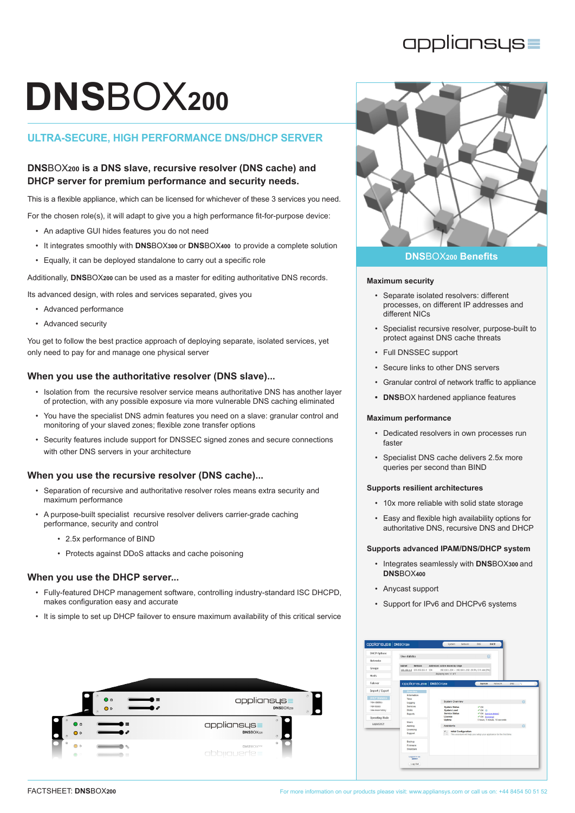# **DNS**BOX**<sup>200</sup>**

# **ULTRA-SECURE, HIGH PERFORMANCE DNS/DHCP SERVER**

# **DNS**BOX**200 is a DNS slave, recursive resolver (DNS cache) and DHCP server for premium performance and security needs.**

This is a flexible appliance, which can be licensed for whichever of these 3 services you need.

For the chosen role(s), it will adapt to give you a high performance fit-for-purpose device:

- An adaptive GUI hides features you do not need
- It integrates smoothly with **DNS**BOX**300** or **DNS**BOX**400** to provide a complete solution
- Equally, it can be deployed standalone to carry out a specific role

Additionally, **DNS**BOX**200** can be used as a master for editing authoritative DNS records.

Its advanced design, with roles and services separated, gives you

- Advanced performance
- Advanced security

You get to follow the best practice approach of deploying separate, isolated services, yet only need to pay for and manage one physical server

# **When you use the authoritative resolver (DNS slave)...**

- Isolation from the recursive resolver service means authoritative DNS has another layer of protection, with any possible exposure via more vulnerable DNS caching eliminated
- You have the specialist DNS admin features you need on a slave: granular control and monitoring of your slaved zones; flexible zone transfer options
- Security features include support for DNSSEC signed zones and secure connections with other DNS servers in your architecture

# **When you use the recursive resolver (DNS cache)...**

- Separation of recursive and authoritative resolver roles means extra security and maximum performance
- A purpose-built specialist recursive resolver delivers carrier-grade caching performance, security and control
	- 2.5x performance of BIND
	- Protects against DDoS attacks and cache poisoning

# **When you use the DHCP server...**

- Fully-featured DHCP management software, controlling industry-standard ISC DHCPD, makes configuration easy and accurate
- It is simple to set up DHCP failover to ensure maximum availability of this critical service





#### **Maximum security**

- Separate isolated resolvers: different processes, on different IP addresses and different NICs
- Specialist recursive resolver, purpose-built to protect against DNS cache threats
- Full DNSSEC support
- Secure links to other DNS servers
- Granular control of network traffic to appliance
- **• DNS**BOX hardened appliance features

# **Maximum performance**

- Dedicated resolvers in own processes run faster
- Specialist DNS cache delivers 2.5x more queries per second than BIND

# **Supports resilient architectures**

- 10x more reliable with solid state storage
- Easy and flexible high availability options for authoritative DNS, recursive DNS and DHCP

# **Supports advanced IPAM/DNS/DHCP system**

- Integrates seamlessly with **DNS**BOX**300** and **DNS**BOX**400**
- Anycast support
- Support for IPv6 and DHCPv6 systems

| <b>DHCP Options</b>                         | View statistics                                    |                                                              | $\Omega$                                                                                             |             |
|---------------------------------------------|----------------------------------------------------|--------------------------------------------------------------|------------------------------------------------------------------------------------------------------|-------------|
| <b>Networks</b>                             |                                                    |                                                              |                                                                                                      |             |
| Groups                                      | Netmask<br>Subnet<br>192.168.1.0 255.255.255.0 254 | Addresses Active leases by range                             | 192.168.1.224 - 192.168.1.252 - 29 IPs, 0 in use (0%)                                                |             |
| Hosts                                       |                                                    | displaying rows 1-1 of 1                                     |                                                                                                      |             |
| Failover                                    | appliansus   DNSBOX200                             |                                                              | System<br>Network                                                                                    | DNS.<br>i 9 |
| Import / Export                             | Overview                                           |                                                              |                                                                                                      |             |
| <b>DHCP Statistics</b><br>· View statistics | Information<br>Time<br>Logging                     | <b>System Overview</b>                                       |                                                                                                      | $\Omega$    |
| - View leases<br>- View lease history       | Services<br><b>Disles</b><br><b>Reports</b>        | <b>System Status</b><br><b>System Load</b><br>Service Status | $V$ OK<br>$V$ OK $\oplus$<br>V OK Iservice details!                                                  |             |
| Operating Hode                              | <b>Users</b>                                       | Linence<br>Uptime                                            | √ OK <i>Econsing</i><br>5 hours, 1 minute, 18 seconds                                                |             |
| Logout DHCP                                 | Alerting                                           | Assistants                                                   |                                                                                                      | $\Omega$    |
|                                             | Licensing<br>Support                               |                                                              | Y  Initial Configuration<br>C. This assistant will help you setup your appliance for the first time. |             |
|                                             | Backup<br>Firmware<br>Shutdown                     |                                                              |                                                                                                      |             |
|                                             | Logged in as:                                      |                                                              |                                                                                                      |             |
|                                             | Log Out                                            |                                                              |                                                                                                      |             |